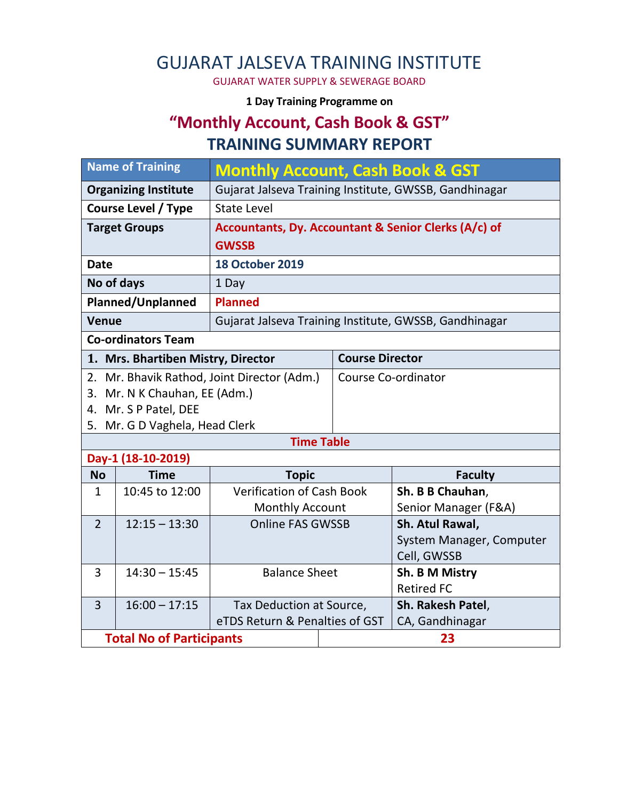# GUJARAT JALSEVA TRAINING INSTITUTE

GUJARAT WATER SUPPLY & SEWERAGE BOARD

#### **1 Day Training Programme on**

# **"Monthly Account, Cash Book & GST" TRAINING SUMMARY REPORT**

| <b>Name of Training</b>            |                                 | <b>Monthly Account, Cash Book &amp; GST</b>            |                            |                          |  |  |  |
|------------------------------------|---------------------------------|--------------------------------------------------------|----------------------------|--------------------------|--|--|--|
| <b>Organizing Institute</b>        |                                 | Gujarat Jalseva Training Institute, GWSSB, Gandhinagar |                            |                          |  |  |  |
| <b>Course Level / Type</b>         |                                 | <b>State Level</b>                                     |                            |                          |  |  |  |
| <b>Target Groups</b>               |                                 | Accountants, Dy. Accountant & Senior Clerks (A/c) of   |                            |                          |  |  |  |
|                                    |                                 | <b>GWSSB</b>                                           |                            |                          |  |  |  |
| <b>Date</b>                        |                                 | <b>18 October 2019</b>                                 |                            |                          |  |  |  |
| No of days                         |                                 | 1 Day                                                  |                            |                          |  |  |  |
| Planned/Unplanned                  |                                 | <b>Planned</b>                                         |                            |                          |  |  |  |
| <b>Venue</b>                       |                                 | Gujarat Jalseva Training Institute, GWSSB, Gandhinagar |                            |                          |  |  |  |
| <b>Co-ordinators Team</b>          |                                 |                                                        |                            |                          |  |  |  |
| 1. Mrs. Bhartiben Mistry, Director |                                 |                                                        |                            | <b>Course Director</b>   |  |  |  |
|                                    |                                 | 2. Mr. Bhavik Rathod, Joint Director (Adm.)            | <b>Course Co-ordinator</b> |                          |  |  |  |
| 3. Mr. N K Chauhan, EE (Adm.)      |                                 |                                                        |                            |                          |  |  |  |
| 4. Mr. S P Patel, DEE              |                                 |                                                        |                            |                          |  |  |  |
| 5. Mr. G D Vaghela, Head Clerk     |                                 |                                                        |                            |                          |  |  |  |
| <b>Time Table</b>                  |                                 |                                                        |                            |                          |  |  |  |
|                                    | Day-1 (18-10-2019)              |                                                        |                            |                          |  |  |  |
| <b>No</b>                          | <b>Time</b>                     | <b>Topic</b>                                           |                            | <b>Faculty</b>           |  |  |  |
| $\mathbf{1}$                       | 10:45 to 12:00                  | <b>Verification of Cash Book</b>                       |                            | Sh. B B Chauhan,         |  |  |  |
|                                    |                                 | <b>Monthly Account</b>                                 |                            | Senior Manager (F&A)     |  |  |  |
| $\overline{2}$                     | $12:15 - 13:30$                 | <b>Online FAS GWSSB</b>                                |                            | Sh. Atul Rawal,          |  |  |  |
|                                    |                                 |                                                        |                            | System Manager, Computer |  |  |  |
|                                    |                                 |                                                        |                            | Cell, GWSSB              |  |  |  |
| 3                                  | $14:30 - 15:45$                 | <b>Balance Sheet</b>                                   |                            | Sh. B M Mistry           |  |  |  |
|                                    |                                 |                                                        |                            | <b>Retired FC</b>        |  |  |  |
| $\overline{3}$                     | $16:00 - 17:15$                 | Tax Deduction at Source,                               |                            | Sh. Rakesh Patel,        |  |  |  |
|                                    |                                 | eTDS Return & Penalties of GST                         |                            | CA, Gandhinagar          |  |  |  |
|                                    | <b>Total No of Participants</b> |                                                        | 23                         |                          |  |  |  |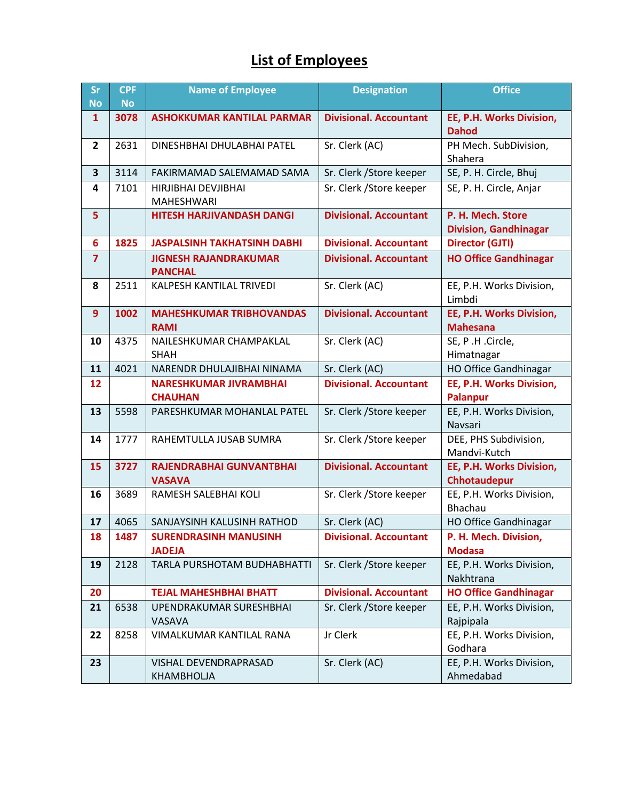### **List of Employees**

| <b>Sr</b><br><b>No</b> | <b>CPF</b><br><b>No</b> | <b>Name of Employee</b>                                                         | <b>Designation</b>            | <b>Office</b>                                     |
|------------------------|-------------------------|---------------------------------------------------------------------------------|-------------------------------|---------------------------------------------------|
| $\mathbf{1}$           | 3078                    | <b>ASHOKKUMAR KANTILAL PARMAR</b>                                               | <b>Divisional. Accountant</b> | EE, P.H. Works Division,                          |
|                        |                         |                                                                                 |                               | <b>Dahod</b>                                      |
| $\overline{2}$         | 2631                    | DINESHBHAI DHULABHAI PATEL                                                      | Sr. Clerk (AC)                | PH Mech. SubDivision,                             |
|                        |                         |                                                                                 |                               | Shahera                                           |
| 3                      | 3114                    | Sr. Clerk / Store keeper<br>FAKIRMAMAD SALEMAMAD SAMA                           |                               | SE, P. H. Circle, Bhuj                            |
| 4                      | 7101                    | HIRJIBHAI DEVJIBHAI<br>MAHESHWARI                                               | Sr. Clerk / Store keeper      | SE, P. H. Circle, Anjar                           |
| 5                      |                         | <b>HITESH HARJIVANDASH DANGI</b>                                                | <b>Divisional. Accountant</b> | P. H. Mech. Store<br><b>Division, Gandhinagar</b> |
| 6                      | 1825                    | <b>JASPALSINH TAKHATSINH DABHI</b>                                              | <b>Divisional. Accountant</b> | <b>Director (GJTI)</b>                            |
| $\overline{7}$         |                         | <b>JIGNESH RAJANDRAKUMAR</b><br><b>Divisional. Accountant</b><br><b>PANCHAL</b> |                               | <b>HO Office Gandhinagar</b>                      |
| 8                      | 2511                    | KALPESH KANTILAL TRIVEDI                                                        | Sr. Clerk (AC)                | EE, P.H. Works Division,<br>Limbdi                |
| 9                      | 1002                    | <b>MAHESHKUMAR TRIBHOVANDAS</b><br><b>RAMI</b>                                  | <b>Divisional. Accountant</b> | EE, P.H. Works Division,<br><b>Mahesana</b>       |
| 10                     | 4375                    | NAILESHKUMAR CHAMPAKLAL                                                         | Sr. Clerk (AC)                | SE, P.H.Circle,                                   |
|                        |                         | <b>SHAH</b>                                                                     |                               | Himatnagar                                        |
| 11                     | 4021                    | NARENDR DHULAJIBHAI NINAMA                                                      | Sr. Clerk (AC)                | <b>HO Office Gandhinagar</b>                      |
| 12                     |                         | <b>NARESHKUMAR JIVRAMBHAI</b><br><b>CHAUHAN</b>                                 | <b>Divisional. Accountant</b> | EE, P.H. Works Division,<br>Palanpur              |
| 13                     | 5598                    | PARESHKUMAR MOHANLAL PATEL                                                      | Sr. Clerk / Store keeper      | EE, P.H. Works Division,                          |
|                        |                         |                                                                                 |                               | Navsari                                           |
| 14                     | 1777                    | RAHEMTULLA JUSAB SUMRA                                                          | Sr. Clerk / Store keeper      | DEE, PHS Subdivision,                             |
| 15                     | 3727                    | RAJENDRABHAI GUNVANTBHAI                                                        | <b>Divisional. Accountant</b> | Mandvi-Kutch<br>EE, P.H. Works Division,          |
|                        |                         | <b>VASAVA</b>                                                                   |                               | Chhotaudepur                                      |
| 16                     | 3689                    | RAMESH SALEBHAI KOLI                                                            | Sr. Clerk / Store keeper      | EE, P.H. Works Division,                          |
|                        |                         |                                                                                 |                               | Bhachau                                           |
| 17                     | 4065                    | SANJAYSINH KALUSINH RATHOD                                                      | Sr. Clerk (AC)                | HO Office Gandhinagar                             |
| 18                     | 1487                    | <b>SURENDRASINH MANUSINH</b><br><b>JADEJA</b>                                   | <b>Divisional. Accountant</b> | P. H. Mech. Division,<br><b>Modasa</b>            |
| 19                     | 2128                    | TARLA PURSHOTAM BUDHABHATTI                                                     | Sr. Clerk / Store keeper      | EE, P.H. Works Division,                          |
|                        |                         |                                                                                 |                               | Nakhtrana                                         |
| 20                     |                         | <b>TEJAL MAHESHBHAI BHATT</b>                                                   | <b>Divisional. Accountant</b> | <b>HO Office Gandhinagar</b>                      |
| 21                     | 6538                    | UPENDRAKUMAR SURESHBHAI                                                         | Sr. Clerk / Store keeper      | EE, P.H. Works Division,                          |
|                        |                         | VASAVA                                                                          |                               | Rajpipala                                         |
| 22                     | 8258                    | VIMALKUMAR KANTILAL RANA                                                        | Jr Clerk                      | EE, P.H. Works Division,                          |
| 23                     |                         | VISHAL DEVENDRAPRASAD                                                           | Sr. Clerk (AC)                | Godhara<br>EE, P.H. Works Division,               |
|                        |                         | KHAMBHOLJA                                                                      |                               | Ahmedabad                                         |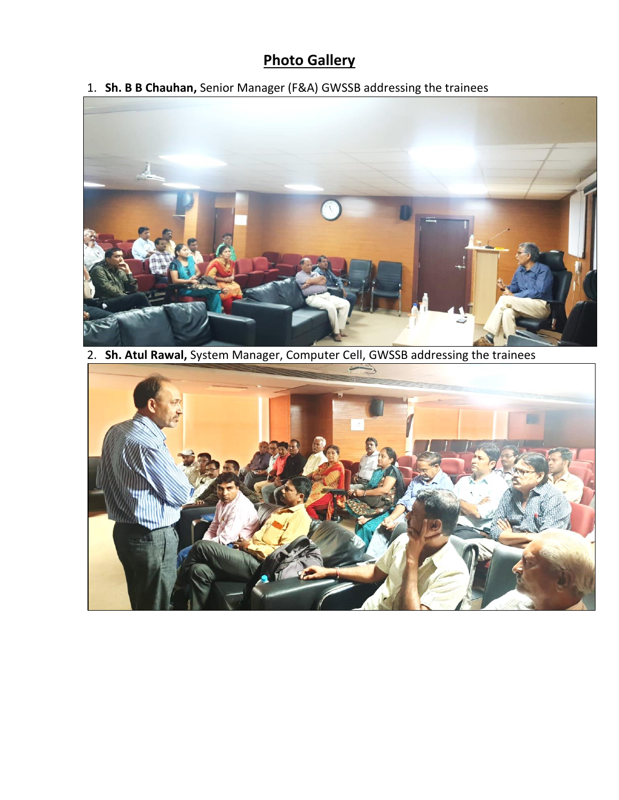#### **Photo Gallery**

1. **Sh. B B Chauhan,** Senior Manager (F&A) GWSSB addressing the trainees



2. **Sh. Atul Rawal,** System Manager, Computer Cell, GWSSB addressing the trainees